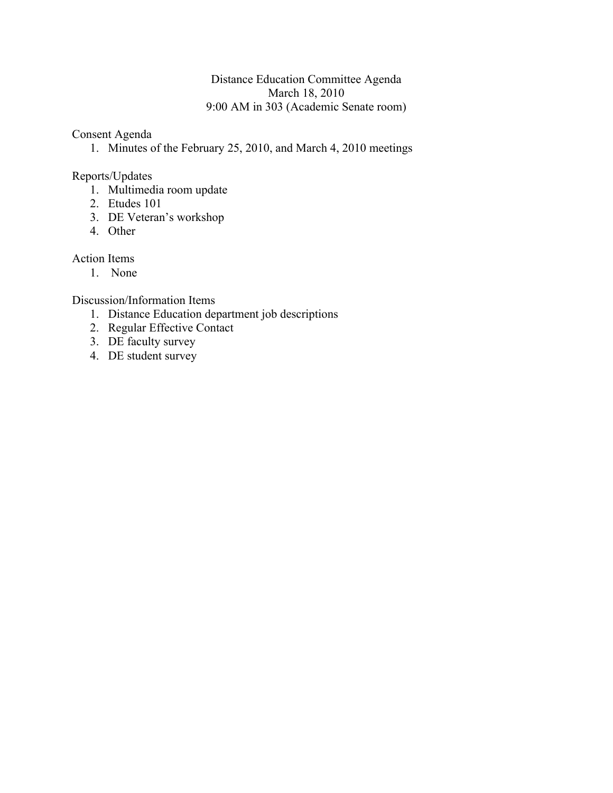# Distance Education Committee Agenda March 18, 2010 9:00 AM in 303 (Academic Senate room)

Consent Agenda

1. Minutes of the February 25, 2010, and March 4, 2010 meetings

# Reports/Updates

- 1. Multimedia room update
- 2. Etudes 101
- 3. DE Veteran's workshop
- 4. Other

# Action Items

1. None

Discussion/Information Items

- 1. Distance Education department job descriptions
- 2. Regular Effective Contact
- 3. DE faculty survey
- 4. DE student survey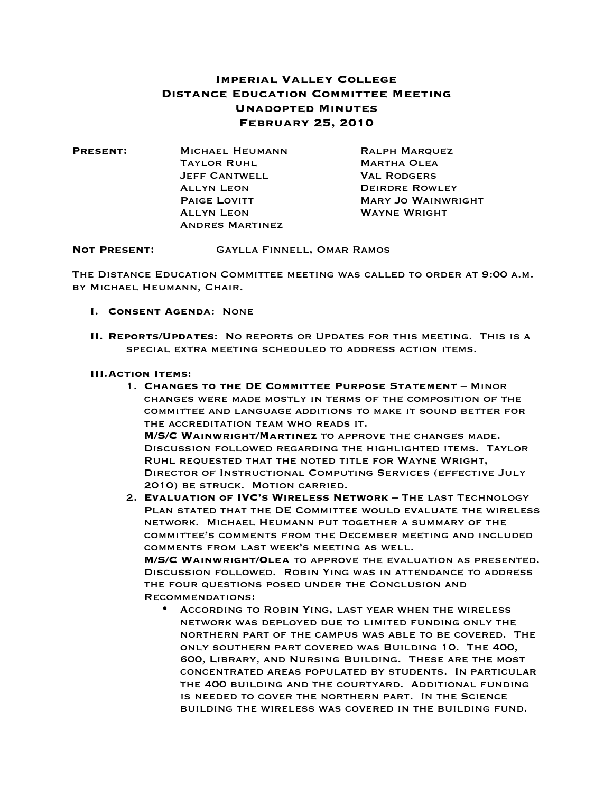## **Imperial Valley College Distance Education Committee Meeting Unadopted Minutes February 25, 2010**

| <b>PRESENT:</b> | <b>MICHAEL HEUMANN</b> | <b>RALPH MARQUEZ</b>      |
|-----------------|------------------------|---------------------------|
|                 | <b>TAYLOR RUHL</b>     | <b>MARTHA OLEA</b>        |
|                 | <b>JEFF CANTWELL</b>   | <b>VAL RODGERS</b>        |
|                 | <b>ALLYN LEON</b>      | <b>DEIRDRE ROWLEY</b>     |
|                 | <b>PAIGE LOVITT</b>    | <b>MARY JO WAINWRIGHT</b> |
|                 | <b>ALLYN LEON</b>      | <b>WAYNE WRIGHT</b>       |
|                 | <b>ANDRES MARTINEZ</b> |                           |

**Not Present:** Gaylla Finnell, Omar Ramos

The Distance Education Committee meeting was called to order at 9:00 a.m. by Michael Heumann, Chair.

- **I. Consent Agenda**: None
- **II. Reports/Updates**: No reports or Updates for this meeting. This is a special extra meeting scheduled to address action items.

#### **III.Action Items**:

- 1. **Changes to the DE Committee Purpose Statement** Minor changes were made mostly in terms of the composition of the committee and language additions to make it sound better for the accreditation team who reads it. **M/S/C Wainwright/Martinez** to approve the changes made. Discussion followed regarding the highlighted items. Taylor Ruhl requested that the noted title for Wayne Wright, Director of Instructional Computing Services (effective July 2010) be struck. Motion carried.
- 2. **Evaluation of IVC's Wireless Network** The last Technology Plan stated that the DE Committee would evaluate the wireless network. Michael Heumann put together a summary of the committee's comments from the December meeting and included comments from last week's meeting as well. **M/S/C Wainwright/Olea** to approve the evaluation as presented. Discussion followed. Robin Ying was in attendance to address the four questions posed under the Conclusion and Recommendations:
	- According to Robin Ying, last year when the wireless network was deployed due to limited funding only the northern part of the campus was able to be covered. The only southern part covered was Building 10. The 400, 600, Library, and Nursing Building. These are the most concentrated areas populated by students. In particular the 400 building and the courtyard. Additional funding is needed to cover the northern part. In the Science building the wireless was covered in the building fund.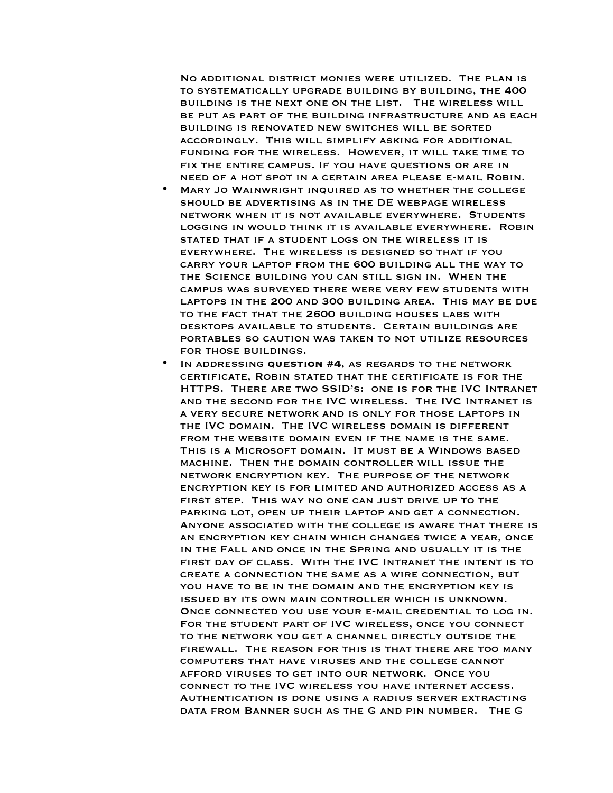No additional district monies were utilized. The plan is to systematically upgrade building by building, the 400 building is the next one on the list. The wireless will be put as part of the building infrastructure and as each building is renovated new switches will be sorted accordingly. This will simplify asking for additional funding for the wireless. However, it will take time to fix the entire campus. If you have questions or are in need of a hot spot in a certain area please e-mail Robin.

- Mary Jo Wainwright inquired as to whether the college should be advertising as in the DE webpage wireless network when it is not available everywhere. Students logging in would think it is available everywhere. Robin stated that if a student logs on the wireless it is everywhere. The wireless is designed so that if you carry your laptop from the 600 building all the way to the Science building you can still sign in. When the campus was surveyed there were very few students with laptops in the 200 and 300 building area. This may be due to the fact that the 2600 building houses labs with desktops available to students. Certain buildings are portables so caution was taken to not utilize resources for those buildings.
- In addressing **question #4**, as regards to the network certificate, Robin stated that the certificate is for the HTTPS. There are two SSID's: one is for the IVC Intranet and the second for the IVC wireless. The IVC Intranet is a very secure network and is only for those laptops in the IVC domain. The IVC wireless domain is different from the website domain even if the name is the same. This is a Microsoft domain. It must be a Windows based machine. Then the domain controller will issue the network encryption key. The purpose of the network encryption key is for limited and authorized access as a first step. This way no one can just drive up to the parking lot, open up their laptop and get a connection. Anyone associated with the college is aware that there is an encryption key chain which changes twice a year, once in the Fall and once in the Spring and usually it is the first day of class. With the IVC Intranet the intent is to create a connection the same as a wire connection, but you have to be in the domain and the encryption key is issued by its own main controller which is unknown. Once connected you use your e-mail credential to log in. For the student part of IVC wireless, once you connect to the network you get a channel directly outside the firewall. The reason for this is that there are too many computers that have viruses and the college cannot afford viruses to get into our network. Once you connect to the IVC wireless you have internet access. Authentication is done using a radius server extracting data from Banner such as the G and pin number. The G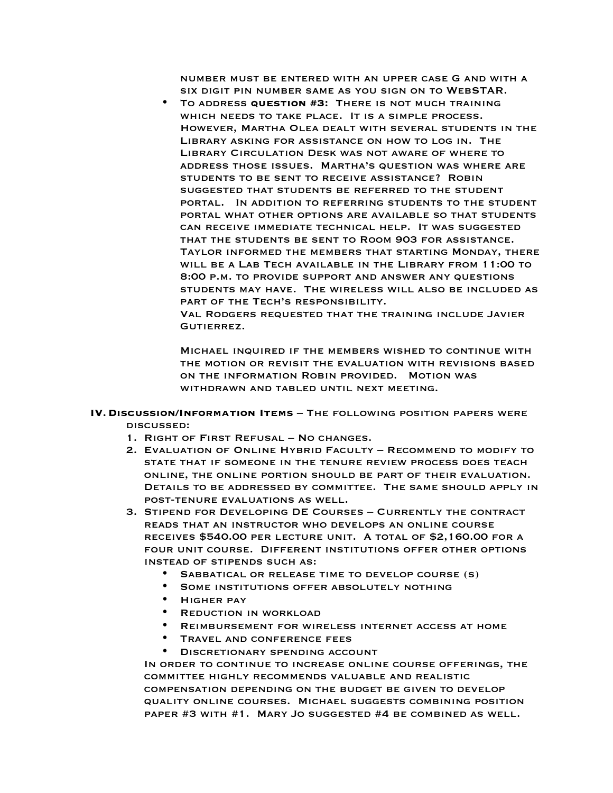number must be entered with an upper case G and with a six digit pin number same as you sign on to WebSTAR.

• To address **question #3:** There is not much training which needs to take place. It is a simple process. However, Martha Olea dealt with several students in the Library asking for assistance on how to log in. The Library Circulation Desk was not aware of where to address those issues. Martha's question was where are students to be sent to receive assistance? Robin suggested that students be referred to the student portal. In addition to referring students to the student portal what other options are available so that students can receive immediate technical help. It was suggested that the students be sent to Room 903 for assistance. Taylor informed the members that starting Monday, there will be a Lab Tech available in the Library from 11:00 to 8:00 p.m. to provide support and answer any questions students may have. The wireless will also be included as PART OF THE TECH'S RESPONSIBILITY.

Val Rodgers requested that the training include Javier Gutierrez.

Michael inquired if the members wished to continue with the motion or revisit the evaluation with revisions based on the information Robin provided. Motion was withdrawn and tabled until next meeting.

- **IV.Discussion/Information Items** The following position papers were discussed:
	- 1. Right of First Refusal No changes.
	- 2. Evaluation of Online Hybrid Faculty Recommend to modify to state that if someone in the tenure review process does teach online, the online portion should be part of their evaluation. Details to be addressed by committee. The same should apply in post-tenure evaluations as well.
	- 3. Stipend for Developing DE Courses Currently the contract reads that an instructor who develops an online course receives \$540.00 per lecture unit. A total of \$2,160.00 for a four unit course. Different institutions offer other options instead of stipends such as:
		- Sabbatical or release time to develop course (s)
		- SOME INSTITUTIONS OFFER ABSOLUTELY NOTHING
		- Higher pay
		- Reduction in workload
		- Reimbursement for wireless internet access at home
		- TRAVEL AND CONFERENCE FEES
		- DISCRETIONARY SPENDING ACCOUNT

In order to continue to increase online course offerings, the committee highly recommends valuable and realistic compensation depending on the budget be given to develop quality online courses. Michael suggests combining position paper #3 with #1. Mary Jo suggested #4 be combined as well.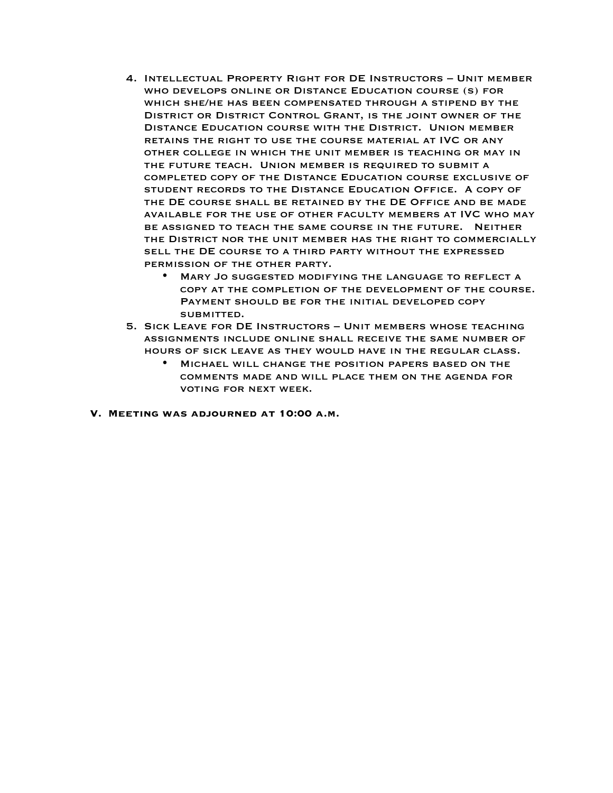- 4. Intellectual Property Right for DE Instructors Unit member who develops online or Distance Education course (s) for which she/he has been compensated through a stipend by the District or District Control Grant, is the joint owner of the Distance Education course with the District. Union member retains the right to use the course material at IVC or any other college in which the unit member is teaching or may in the future teach. Union member is required to submit a completed copy of the Distance Education course exclusive of student records to the Distance Education Office. A copy of the DE course shall be retained by the DE Office and be made available for the use of other faculty members at IVC who may be assigned to teach the same course in the future. Neither the District nor the unit member has the right to commercially sell the DE course to a third party without the expressed permission of the other party.
	- Mary Jo suggested modifying the language to reflect a copy at the completion of the development of the course. Payment should be for the initial developed copy submitted.
- 5. Sick Leave for DE Instructors Unit members whose teaching assignments include online shall receive the same number of hours of sick leave as they would have in the regular class.
	- Michael will change the position papers based on the comments made and will place them on the agenda for voting for next week.
- **V. Meeting was adjourned at 10:00 a.m.**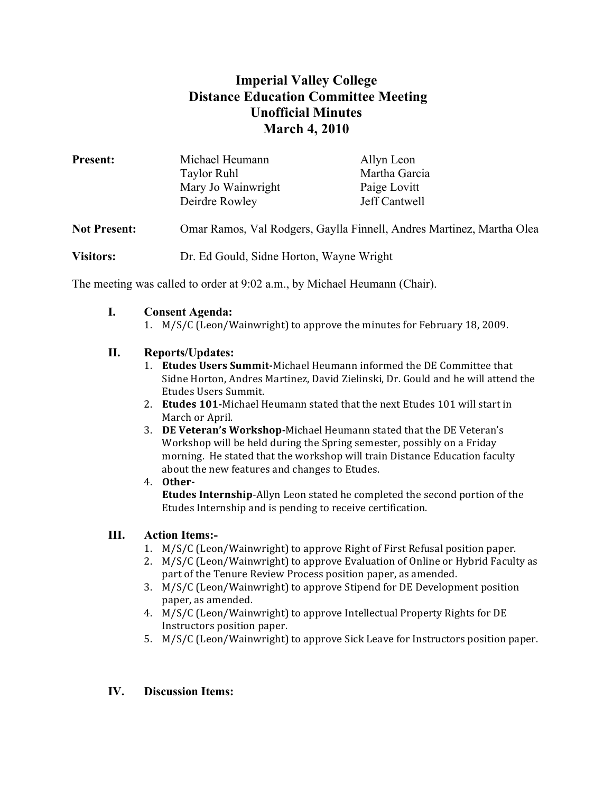# **Imperial Valley College Distance Education Committee Meeting Unofficial Minutes March 4, 2010**

| <b>Present:</b>     | Michael Heumann                                                       | Allyn Leon    |
|---------------------|-----------------------------------------------------------------------|---------------|
|                     | <b>Taylor Ruhl</b>                                                    | Martha Garcia |
|                     | Mary Jo Wainwright                                                    | Paige Lovitt  |
|                     | Deirdre Rowley                                                        | Jeff Cantwell |
| <b>Not Present:</b> | Omar Ramos, Val Rodgers, Gaylla Finnell, Andres Martinez, Martha Olea |               |
| <b>Visitors:</b>    | Dr. Ed Gould, Sidne Horton, Wayne Wright                              |               |

The meeting was called to order at 9:02 a.m., by Michael Heumann (Chair).

#### **I. Consent Agenda:**

1. M/S/C (Leon/Wainwright) to approve the minutes for February 18, 2009.

## **II. Reports/Updates:**

- 1. **Etudes Users Summit-**Michael Heumann informed the DE Committee that Sidne Horton, Andres Martinez, David Zielinski, Dr. Gould and he will attend the Etudes Users Summit.
- 2. **Etudes 101-**Michael Heumann stated that the next Etudes 101 will start in March or April.
- 3. **DE Veteran's Workshop-**Michael Heumann stated that the DE Veteran's Workshop will be held during the Spring semester, possibly on a Friday morning. He stated that the workshop will train Distance Education faculty about the new features and changes to Etudes.

#### 4. **Other-Etudes Internship-Allyn Leon stated he completed the second portion of the** Etudes Internship and is pending to receive certification.

# **III. Action Items:-**

- 1. M/S/C (Leon/Wainwright) to approve Right of First Refusal position paper.
- 2. M/S/C (Leon/Wainwright) to approve Evaluation of Online or Hybrid Faculty as part of the Tenure Review Process position paper, as amended.
- 3. M/S/C (Leon/Wainwright) to approve Stipend for DE Development position paper, as amended.
- 4. M/S/C (Leon/Wainwright) to approve Intellectual Property Rights for DE Instructors position paper.
- 5. M/S/C (Leon/Wainwright) to approve Sick Leave for Instructors position paper.

# **IV. Discussion Items:**